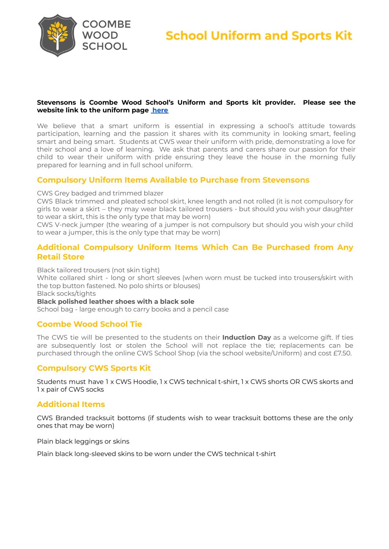

**School Uniform and Sports Kit** 

### **Stevensons is Coombe Wood School's Uniform and Sports kit provider. Please see the website link to the uniform page [here](https://www.cws-croydon.co.uk/parentscarers-information/uniform)**

We believe that a smart uniform is essential in expressing a school's attitude towards participation, learning and the passion it shares with its community in looking smart, feeling smart and being smart. Students at CWS wear their uniform with pride, demonstrating a love for their school and a love of learning. We ask that parents and carers share our passion for their child to wear their uniform with pride ensuring they leave the house in the morning fully prepared for learning and in full school uniform.

# **Compulsory Uniform Items Available to Purchase from Stevensons**

CWS Grey badged and trimmed blazer

CWS Black trimmed and pleated school skirt, knee length and not rolled (it is not compulsory for girls to wear a skirt – they may wear black tailored trousers - but should you wish your daughter to wear a skirt, this is the only type that may be worn)

CWS V-neck jumper (the wearing of a jumper is not compulsory but should you wish your child to wear a jumper, this is the only type that may be worn)

# **Additional Compulsory Uniform Items Which Can Be Purchased from Any Retail Store**

Black tailored trousers (not skin tight)

White collared shirt - long or short sleeves (when worn must be tucked into trousers/skirt with the top button fastened. No polo shirts or blouses)

Black socks/tights

**Black polished leather shoes with a black sole**

School bag - large enough to carry books and a pencil case

# **Coombe Wood School Tie**

The CWS tie will be presented to the students on their **Induction Day** as a welcome gift. If ties are subsequently lost or stolen the School will not replace the tie; replacements can be purchased through the online CWS School Shop (via the school website/Uniform) and cost £7.50.

# **Compulsory CWS Sports Kit**

Students must have 1 x CWS Hoodie, 1 x CWS technical t-shirt, 1 x CWS shorts OR CWS skorts and 1 x pair of CWS socks

# **Additional Items**

CWS Branded tracksuit bottoms (if students wish to wear tracksuit bottoms these are the only ones that may be worn)

Plain black leggings or skins

Plain black long-sleeved skins to be worn under the CWS technical t-shirt